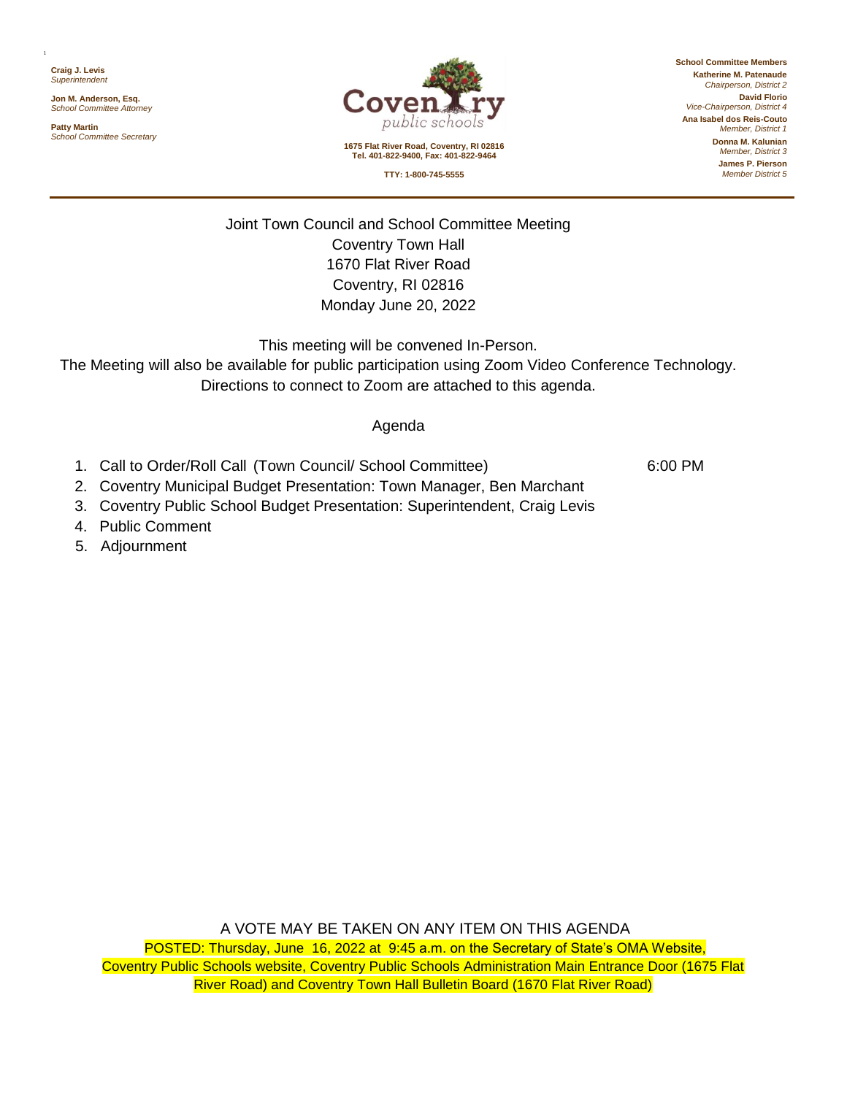**Craig J. Levis** *Superintendent*

1

**Jon M. Anderson, Esq.** *School Committee Attorney*

**Patty Martin** *School Committee Secretary*



**1675 Flat River Road, Coventry, RI 02816 Tel. 401-822-9400, Fax: 401-822-9464**

**School Committee Members Katherine M. Patenaude** *Chairperson, District 2* **David Florio** *Vice-Chairperson, District 4* **Ana Isabel dos Reis-Couto** *Member, District 1* **Donna M. Kalunian** *Member, District 3*

**TTY: 1-800-745-5555**

**James P. Pierson** *Member District 5*

Joint Town Council and School Committee Meeting Coventry Town Hall 1670 Flat River Road Coventry, RI 02816 Monday June 20, 2022

This meeting will be convened In-Person.

The Meeting will also be available for public participation using Zoom Video Conference Technology. Directions to connect to Zoom are attached to this agenda.

## Agenda

1. Call to Order/Roll Call (Town Council/ School Committee) 6:00 PM

- 2. Coventry Municipal Budget Presentation: Town Manager, Ben Marchant
- 3. Coventry Public School Budget Presentation: Superintendent, Craig Levis
- 4. Public Comment
- 5. Adjournment

A VOTE MAY BE TAKEN ON ANY ITEM ON THIS AGENDA

POSTED: Thursday, June 16, 2022 at 9:45 a.m. on the Secretary of State's OMA Website, Coventry Public Schools website, Coventry Public Schools Administration Main Entrance Door (1675 Flat River Road) and Coventry Town Hall Bulletin Board (1670 Flat River Road)